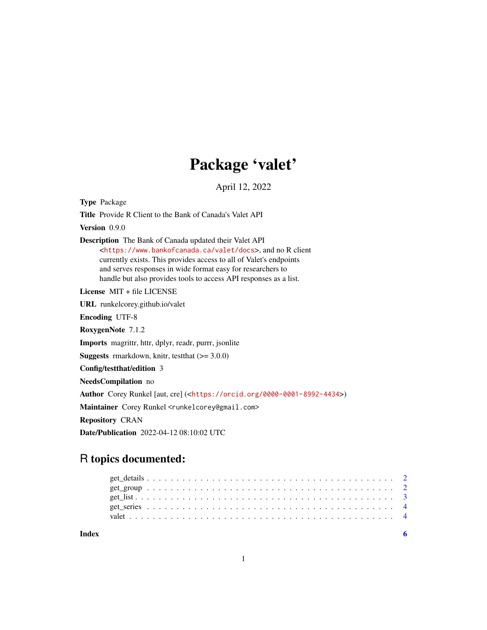## Package 'valet'

April 12, 2022

Type Package Title Provide R Client to the Bank of Canada's Valet API Version 0.9.0 Description The Bank of Canada updated their Valet API <<https://www.bankofcanada.ca/valet/docs>>, and no R client currently exists. This provides access to all of Valet's endpoints and serves responses in wide format easy for researchers to handle but also provides tools to access API responses as a list. License MIT + file LICENSE URL runkelcorey.github.io/valet Encoding UTF-8 RoxygenNote 7.1.2 Imports magrittr, httr, dplyr, readr, purrr, jsonlite **Suggests** rmarkdown, knitr, test that  $(>= 3.0.0)$ Config/testthat/edition 3 NeedsCompilation no Author Corey Runkel [aut, cre] (<<https://orcid.org/0000-0001-8992-4434>>) Maintainer Corey Runkel <runkelcorey@gmail.com> Repository CRAN Date/Publication 2022-04-12 08:10:02 UTC

## R topics documented:

**Index** [6](#page-5-0) **6**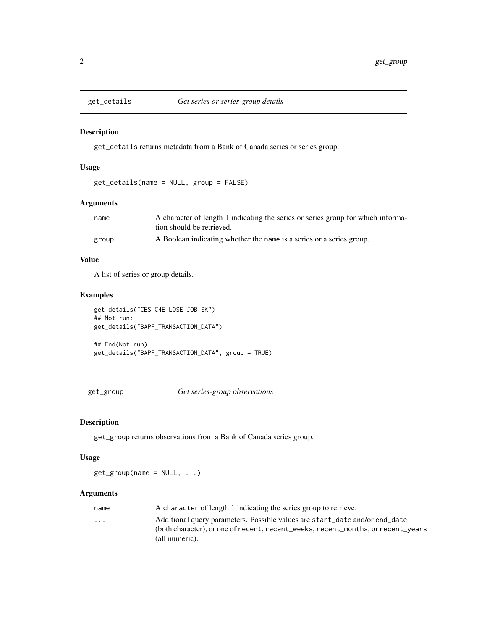<span id="page-1-0"></span>

#### Description

get\_details returns metadata from a Bank of Canada series or series group.

#### Usage

```
get_details(name = NULL, group = FALSE)
```
#### Arguments

| name  | A character of length 1 indicating the series or series group for which informa- |
|-------|----------------------------------------------------------------------------------|
|       | tion should be retrieved.                                                        |
| group | A Boolean indicating whether the name is a series or a series group.             |

#### Value

A list of series or group details.

#### Examples

get\_details("CES\_C4E\_LOSE\_JOB\_SK") ## Not run: get\_details("BAPF\_TRANSACTION\_DATA") ## End(Not run) get\_details("BAPF\_TRANSACTION\_DATA", group = TRUE)

get\_group *Get series-group observations*

#### Description

get\_group returns observations from a Bank of Canada series group.

#### Usage

 $get\_group(name = NULL, ...)$ 

#### Arguments

| name                    | A character of length 1 indicating the series group to retrieve.                 |
|-------------------------|----------------------------------------------------------------------------------|
| $\cdot$ $\cdot$ $\cdot$ | Additional query parameters. Possible values are start_date and/or end_date      |
|                         | (both character), or one of recent, recent_weeks, recent_months, or recent_years |
|                         | (all numeric).                                                                   |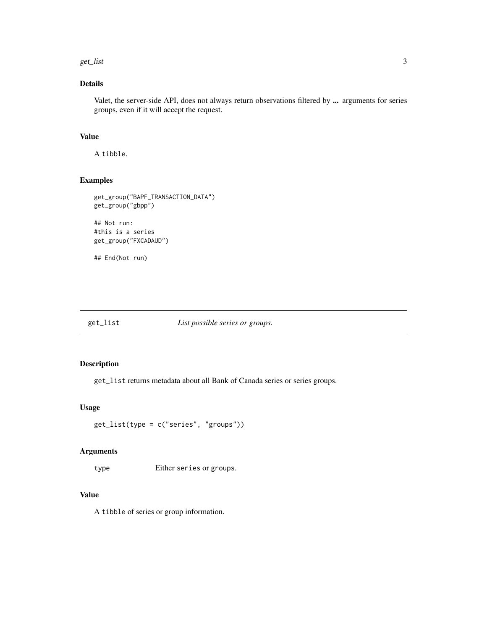#### <span id="page-2-0"></span>get\_list 3

#### Details

Valet, the server-side API, does not always return observations filtered by ... arguments for series groups, even if it will accept the request.

#### Value

A tibble.

#### Examples

```
get_group("BAPF_TRANSACTION_DATA")
get_group("gbpp")
```

```
## Not run:
#this is a series
get_group("FXCADAUD")
```
## End(Not run)

get\_list *List possible series or groups.*

#### Description

get\_list returns metadata about all Bank of Canada series or series groups.

#### Usage

```
get_list(type = c("series", "groups"))
```
#### Arguments

type Either series or groups.

#### Value

A tibble of series or group information.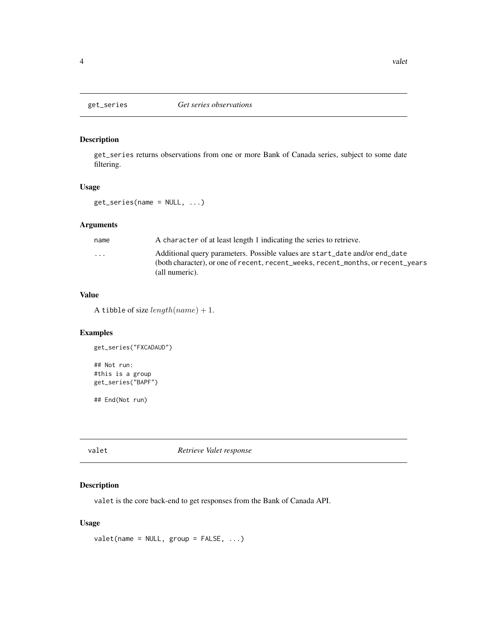<span id="page-3-0"></span>

#### Description

get\_series returns observations from one or more Bank of Canada series, subject to some date filtering.

#### Usage

get\_series(name = NULL, ...)

#### Arguments

| name     | A character of at least length 1 indicating the series to retrieve.                                                                                                               |
|----------|-----------------------------------------------------------------------------------------------------------------------------------------------------------------------------------|
| $\cdots$ | Additional query parameters. Possible values are start_date and/or end_date<br>(both character), or one of recent, recent_weeks, recent_months, or recent_years<br>(all numeric). |
|          |                                                                                                                                                                                   |

#### Value

A tibble of size  $length(name) + 1$ .

#### Examples

```
get_series("FXCADAUD")
## Not run:
#this is a group
get_series("BAPF")
```
## End(Not run)

valet *Retrieve Valet response*

#### Description

valet is the core back-end to get responses from the Bank of Canada API.

#### Usage

 $value$ (name = NULL, group = FALSE, ...)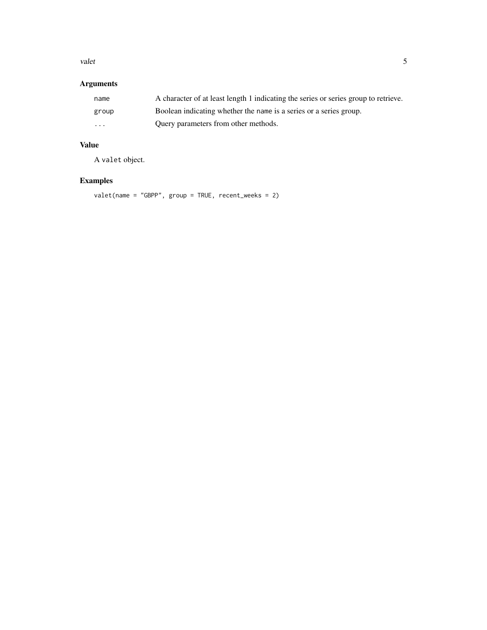#### valet 5

#### Arguments

| name     | A character of at least length 1 indicating the series or series group to retrieve. |
|----------|-------------------------------------------------------------------------------------|
| group    | Boolean indicating whether the name is a series or a series group.                  |
| $\cdots$ | Ouery parameters from other methods.                                                |

#### Value

A valet object.

### Examples

valet(name = "GBPP", group = TRUE, recent\_weeks = 2)